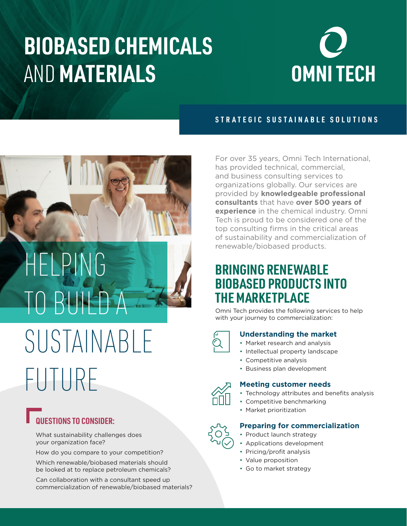## **BIOBASED CHEMICALS**  AND **MATERIALS**



### **STRATEGIC SUSTAINABLE SOLUTIONS**



# HELPING TO BUILD SUSTAINABLE FUTURE

### **QUESTIONS TO CONSIDER:**

What sustainability challenges does your organization face?

How do you compare to your competition?

Which renewable/biobased materials should be looked at to replace petroleum chemicals?

Can collaboration with a consultant speed up commercialization of renewable/biobased materials? For over 35 years, Omni Tech International, has provided technical, commercial, and business consulting services to organizations globally. Our services are provided by **knowledgeable professional consultants** that have **over 500 years of experience** in the chemical industry. Omni Tech is proud to be considered one of the top consulting firms in the critical areas of sustainability and commercialization of renewable/biobased products.

### **BRINGING RENEWABLE BIOBASED PRODUCTS INTO THE MARKETPLACE**

Omni Tech provides the following services to help with your journey to commercialization:

- **Understanding the market** • Market research and analysis
- Intellectual property landscape
- Competitive analysis
- Business plan development

#### **Meeting customer needs**

- Technology attributes and benefits analysis
- Competitive benchmarking
- Market prioritization

#### **Preparing for commercialization**

- Product launch strategy
	- Applications development
	- Pricing/profit analysis
	- Value proposition
	- Go to market strategy